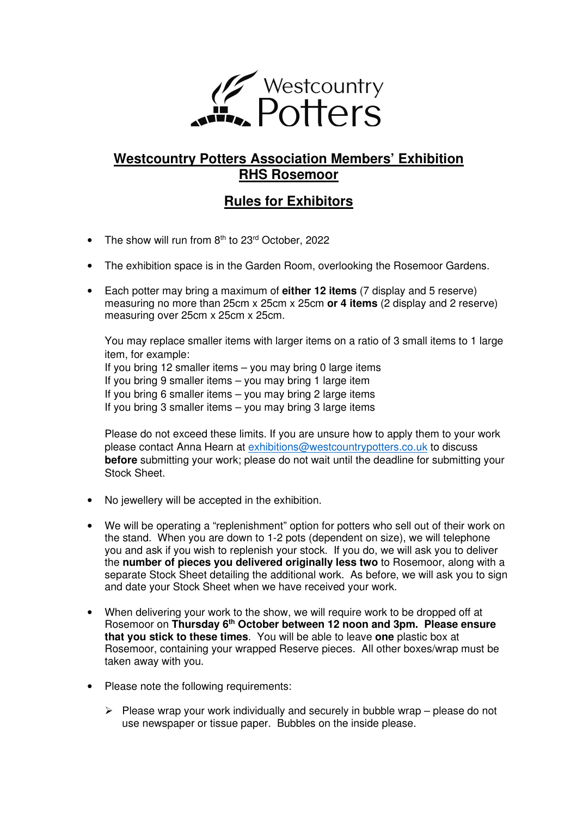

# **Westcountry Potters Association Members' Exhibition RHS Rosemoor**

# **Rules for Exhibitors**

- The show will run from  $8<sup>th</sup>$  to  $23<sup>rd</sup>$  October, 2022
- The exhibition space is in the Garden Room, overlooking the Rosemoor Gardens.
- Each potter may bring a maximum of **either 12 items** (7 display and 5 reserve) measuring no more than 25cm x 25cm x 25cm **or 4 items** (2 display and 2 reserve) measuring over 25cm x 25cm x 25cm.

You may replace smaller items with larger items on a ratio of 3 small items to 1 large item, for example: If you bring 12 smaller items – you may bring 0 large items If you bring 9 smaller items – you may bring 1 large item If you bring 6 smaller items – you may bring 2 large items If you bring 3 smaller items – you may bring 3 large items

Please do not exceed these limits. If you are unsure how to apply them to your work please contact Anna Hearn at exhibitions@westcountrypotters.co.uk to discuss **before** submitting your work; please do not wait until the deadline for submitting your Stock Sheet.

- No jewellery will be accepted in the exhibition.
- We will be operating a "replenishment" option for potters who sell out of their work on the stand. When you are down to 1-2 pots (dependent on size), we will telephone you and ask if you wish to replenish your stock. If you do, we will ask you to deliver the **number of pieces you delivered originally less two** to Rosemoor, along with a separate Stock Sheet detailing the additional work. As before, we will ask you to sign and date your Stock Sheet when we have received your work.
- When delivering your work to the show, we will require work to be dropped off at Rosemoor on **Thursday 6th October between 12 noon and 3pm. Please ensure that you stick to these times**. You will be able to leave **one** plastic box at Rosemoor, containing your wrapped Reserve pieces. All other boxes/wrap must be taken away with you.
- Please note the following requirements:
	- $\triangleright$  Please wrap your work individually and securely in bubble wrap please do not use newspaper or tissue paper. Bubbles on the inside please.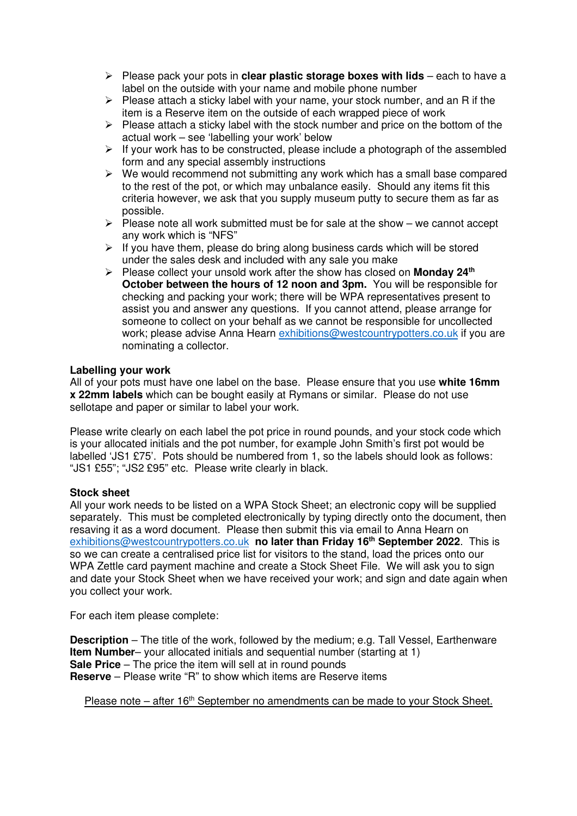- $\triangleright$  Please pack your pots in **clear plastic storage boxes with lids** each to have a label on the outside with your name and mobile phone number
- $\triangleright$  Please attach a sticky label with your name, your stock number, and an R if the item is a Reserve item on the outside of each wrapped piece of work
- $\triangleright$  Please attach a sticky label with the stock number and price on the bottom of the actual work – see 'labelling your work' below
- $\triangleright$  If your work has to be constructed, please include a photograph of the assembled form and any special assembly instructions
- $\triangleright$  We would recommend not submitting any work which has a small base compared to the rest of the pot, or which may unbalance easily. Should any items fit this criteria however, we ask that you supply museum putty to secure them as far as possible.
- $\triangleright$  Please note all work submitted must be for sale at the show we cannot accept any work which is "NFS"
- $\triangleright$  If you have them, please do bring along business cards which will be stored under the sales desk and included with any sale you make
- Please collect your unsold work after the show has closed on **Monday 24th October between the hours of 12 noon and 3pm.** You will be responsible for checking and packing your work; there will be WPA representatives present to assist you and answer any questions. If you cannot attend, please arrange for someone to collect on your behalf as we cannot be responsible for uncollected work; please advise Anna Hearn exhibitions@westcountrypotters.co.uk if you are nominating a collector.

### **Labelling your work**

All of your pots must have one label on the base. Please ensure that you use **white 16mm x 22mm labels** which can be bought easily at Rymans or similar. Please do not use sellotape and paper or similar to label your work.

Please write clearly on each label the pot price in round pounds, and your stock code which is your allocated initials and the pot number, for example John Smith's first pot would be labelled 'JS1 £75'. Pots should be numbered from 1, so the labels should look as follows: "JS1 £55"; "JS2 £95" etc. Please write clearly in black.

#### **Stock sheet**

All your work needs to be listed on a WPA Stock Sheet; an electronic copy will be supplied separately. This must be completed electronically by typing directly onto the document, then resaving it as a word document. Please then submit this via email to Anna Hearn on exhibitions@westcountrypotters.co.uk **no later than Friday 16th September 2022**. This is so we can create a centralised price list for visitors to the stand, load the prices onto our WPA Zettle card payment machine and create a Stock Sheet File. We will ask you to sign and date your Stock Sheet when we have received your work; and sign and date again when you collect your work.

For each item please complete:

**Description** – The title of the work, followed by the medium; e.g. Tall Vessel, Earthenware **Item Number–** your allocated initials and sequential number (starting at 1) **Sale Price** – The price the item will sell at in round pounds **Reserve** – Please write "R" to show which items are Reserve items

Please note – after 16<sup>th</sup> September no amendments can be made to your Stock Sheet.